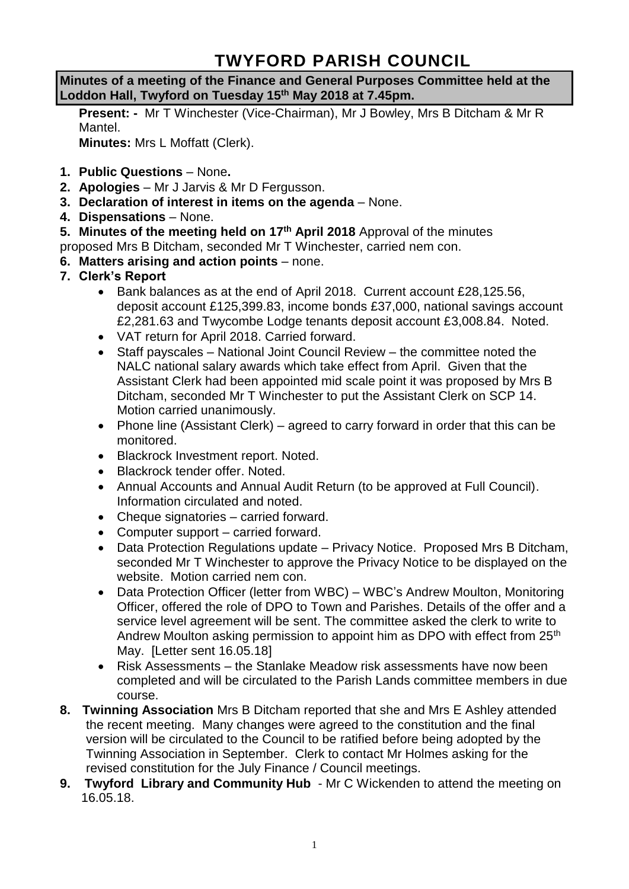# **TWYFORD PARISH COUNCIL**

**Minutes of a meeting of the Finance and General Purposes Committee held at the Loddon Hall, Twyford on Tuesday 15th May 2018 at 7.45pm.**

**Present: -** Mr T Winchester (Vice-Chairman), Mr J Bowley, Mrs B Ditcham & Mr R Mantel.

**Minutes:** Mrs L Moffatt (Clerk).

- **1. Public Questions** None**.**
- **2. Apologies** Mr J Jarvis & Mr D Fergusson.
- **3. Declaration of interest in items on the agenda**  None.
- **4. Dispensations**  None.

**5. Minutes of the meeting held on 17th April 2018** Approval of the minutes

proposed Mrs B Ditcham, seconded Mr T Winchester, carried nem con.

- **6. Matters arising and action points** none.
- **7. Clerk's Report**
	- Bank balances as at the end of April 2018. Current account £28,125.56, deposit account £125,399.83, income bonds £37,000, national savings account £2,281.63 and Twycombe Lodge tenants deposit account £3,008.84. Noted.
	- VAT return for April 2018. Carried forward.
	- Staff payscales National Joint Council Review the committee noted the NALC national salary awards which take effect from April. Given that the Assistant Clerk had been appointed mid scale point it was proposed by Mrs B Ditcham, seconded Mr T Winchester to put the Assistant Clerk on SCP 14. Motion carried unanimously.
	- Phone line (Assistant Clerk) agreed to carry forward in order that this can be monitored.
	- Blackrock Investment report. Noted.
	- Blackrock tender offer. Noted.
	- Annual Accounts and Annual Audit Return (to be approved at Full Council). Information circulated and noted.
	- Cheque signatories carried forward.
	- Computer support carried forward.
	- Data Protection Regulations update Privacy Notice. Proposed Mrs B Ditcham, seconded Mr T Winchester to approve the Privacy Notice to be displayed on the website. Motion carried nem con.
	- Data Protection Officer (letter from WBC) WBC's Andrew Moulton, Monitoring Officer, offered the role of DPO to Town and Parishes. Details of the offer and a service level agreement will be sent. The committee asked the clerk to write to Andrew Moulton asking permission to appoint him as DPO with effect from 25<sup>th</sup> May. [Letter sent 16.05.18]
	- Risk Assessments the Stanlake Meadow risk assessments have now been completed and will be circulated to the Parish Lands committee members in due course.
- **8. Twinning Association** Mrs B Ditcham reported that she and Mrs E Ashley attended the recent meeting. Many changes were agreed to the constitution and the final version will be circulated to the Council to be ratified before being adopted by the Twinning Association in September. Clerk to contact Mr Holmes asking for the revised constitution for the July Finance / Council meetings.
- **9. Twyford Library and Community Hub**  Mr C Wickenden to attend the meeting on 16.05.18.